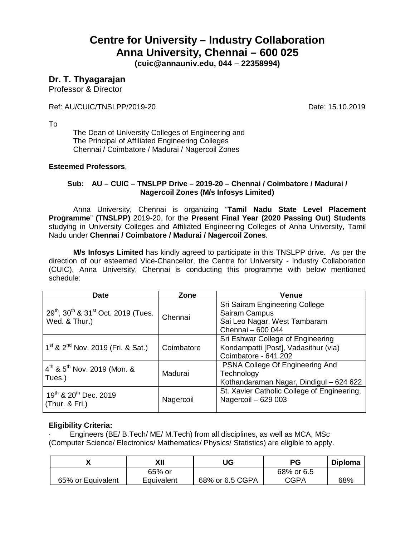# **Centre for University – Industry Collaboration Anna University, Chennai – 600 025**

**(cuic@annauniv.edu, 044 – 22358994)**

### **Dr. T. Thyagarajan**

Professor & Director

Ref: AU/CUIC/TNSLPP/2019-20 **Date: 15.10.2019** 

To

The Dean of University Colleges of Engineering and The Principal of Affiliated Engineering Colleges Chennai / Coimbatore / Madurai / Nagercoil Zones

#### **Esteemed Professors**,

#### **Sub: AU – CUIC – TNSLPP Drive – 2019-20 – Chennai / Coimbatore / Madurai / Nagercoil Zones (M/s Infosys Limited)**

Anna University, Chennai is organizing "**Tamil Nadu State Level Placement Programme**" **(TNSLPP)** 2019-20, for the **Present Final Year (2020 Passing Out) Students** studying in University Colleges and Affiliated Engineering Colleges of Anna University, Tamil Nadu under **Chennai / Coimbatore / Madurai / Nagercoil Zones**.

**M/s Infosys Limited** has kindly agreed to participate in this TNSLPP drive. As per the direction of our esteemed Vice-Chancellor, the Centre for University - Industry Collaboration (CUIC), Anna University, Chennai is conducting this programme with below mentioned schedule:

| <b>Date</b>                                                                              | Zone       | <b>Venue</b>                                                                                         |
|------------------------------------------------------------------------------------------|------------|------------------------------------------------------------------------------------------------------|
| 29 <sup>th</sup> , 30 <sup>th</sup> & 31 <sup>st</sup> Oct. 2019 (Tues.<br>Wed. & Thur.) | Chennai    | Sri Sairam Engineering College<br>Sairam Campus<br>Sai Leo Nagar, West Tambaram<br>Chennai - 600 044 |
| $1st$ & 2 <sup>nd</sup> Nov. 2019 (Fri. & Sat.)                                          | Coimbatore | Sri Eshwar College of Engineering<br>Kondampatti [Post], Vadasithur (via)<br>Coimbatore - 641 202    |
| $4^{\text{th}}$ & 5 <sup>th</sup> Nov. 2019 (Mon. &<br>Tues.)                            | Madurai    | PSNA College Of Engineering And<br>Technology<br>Kothandaraman Nagar, Dindigul - 624 622             |
| 19th & 20th Dec. 2019<br>(Thur. & Fri.)                                                  | Nagercoil  | St. Xavier Catholic College of Engineering,<br>Nagercoil - 629 003                                   |

#### **Eligibility Criteria:**

· Engineers (BE/ B.Tech/ ME/ M.Tech) from all disciplines, as well as MCA, MSc (Computer Science/ Electronics/ Mathematics/ Physics/ Statistics) are eligible to apply.

|                   | ΧIΙ        | UG              | РG          | <b>Diploma</b> |
|-------------------|------------|-----------------|-------------|----------------|
|                   | 65% or     |                 | 68% or 6.5  |                |
| 65% or Equivalent | Equivalent | 68% or 6.5 CGPA | <b>CGPA</b> | 68%            |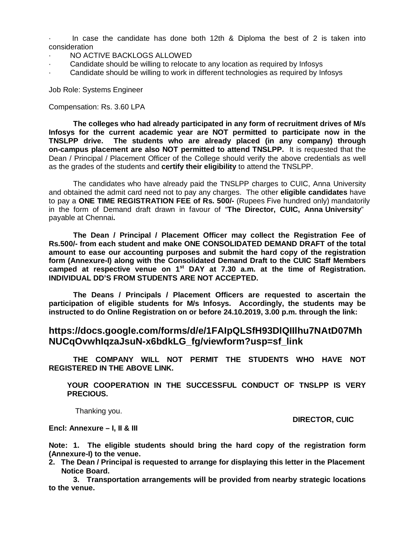In case the candidate has done both  $12$ th & Diploma the best of 2 is taken into consideration

- NO ACTIVE BACKLOGS ALLOWED
- Candidate should be willing to relocate to any location as required by Infosys
- Candidate should be willing to work in different technologies as required by Infosys

Job Role: Systems Engineer

#### Compensation: Rs. 3.60 LPA

**The colleges who had already participated in any form of recruitment drives of M/s Infosys for the current academic year are NOT permitted to participate now in the TNSLPP drive. The students who are already placed (in any company) through on-campus placement are also NOT permitted to attend TNSLPP.** It is requested that the Dean / Principal / Placement Officer of the College should verify the above credentials as well as the grades of the students and **certify their eligibility** to attend the TNSLPP.

The candidates who have already paid the TNSLPP charges to CUIC, Anna University and obtained the admit card need not to pay any charges. The other **eligible candidates** have to pay a **ONE TIME REGISTRATION FEE of Rs. 500/-** (Rupees Five hundred only) mandatorily in the form of Demand draft drawn in favour of "**The Director, CUIC, Anna University**" payable at Chennai**.** 

**The Dean / Principal / Placement Officer may collect the Registration Fee of Rs.500/- from each student and make ONE CONSOLIDATED DEMAND DRAFT of the total amount to ease our accounting purposes and submit the hard copy of the registration form (Annexure-I) along with the Consolidated Demand Draft to the CUIC Staff Members camped at respective venue on 1 st DAY at 7.30 a.m. at the time of Registration. INDIVIDUAL DD'S FROM STUDENTS ARE NOT ACCEPTED.**

**The Deans / Principals / Placement Officers are requested to ascertain the participation of eligible students for M/s Infosys. Accordingly, the students may be instructed to do Online Registration on or before 24.10.2019, 3.00 p.m. through the link:**

#### **https://docs.google.com/forms/d/e/1FAIpQLSfH93DlQIIlhu7NAtD07Mh NUCqOvwhIqzaJsuN-x6bdkLG\_fg/viewform?usp=sf\_link**

**THE COMPANY WILL NOT PERMIT THE STUDENTS WHO HAVE NOT REGISTERED IN THE ABOVE LINK.**

**YOUR COOPERATION IN THE SUCCESSFUL CONDUCT OF TNSLPP IS VERY PRECIOUS.**

Thanking you.

**DIRECTOR, CUIC**

**Encl: Annexure – I, II & III**

**Note: 1. The eligible students should bring the hard copy of the registration form (Annexure-I) to the venue.**

**2. The Dean / Principal is requested to arrange for displaying this letter in the Placement Notice Board.**

**3. Transportation arrangements will be provided from nearby strategic locations to the venue.**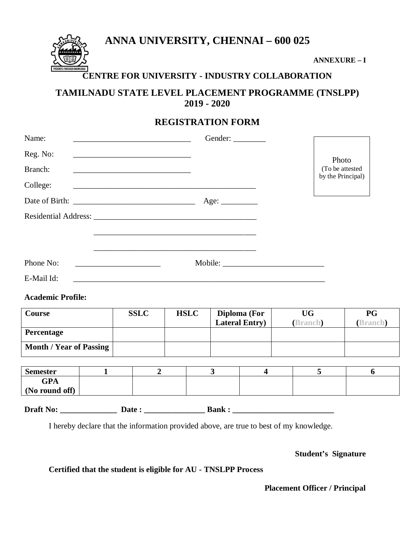**ANNA UNIVERSITY, CHENNAI – 600 025**



**ANNEXURE – I**

## **CENTRE FOR UNIVERSITY - INDUSTRY COLLABORATION**

## **TAMILNADU STATE LEVEL PLACEMENT PROGRAMME (TNSLPP) 2019 - 2020**

## **REGISTRATION FORM**

| Name:      | Gender:<br><u> 1980 - Johann Barbara, martin amerikan basal dan berasal dalam basal dalam basal dalam basal dalam basal dala</u> |                                      |
|------------|----------------------------------------------------------------------------------------------------------------------------------|--------------------------------------|
| Reg. No:   |                                                                                                                                  | Photo                                |
| Branch:    |                                                                                                                                  | (To be attested<br>by the Principal) |
| College:   |                                                                                                                                  |                                      |
|            | Age:                                                                                                                             |                                      |
|            |                                                                                                                                  |                                      |
|            |                                                                                                                                  |                                      |
|            |                                                                                                                                  |                                      |
| Phone No:  | <u> 1980 - Jan Barbara, martxa al II-lea (h. 1980).</u>                                                                          |                                      |
| E-Mail Id: |                                                                                                                                  |                                      |

#### **Academic Profile:**

| <b>Course</b>                  | <b>SSLC</b> | <b>HSLC</b> | Diploma (For<br><b>Lateral Entry</b> ) | UG<br>(Branch) | PG<br><b>Branch</b> |
|--------------------------------|-------------|-------------|----------------------------------------|----------------|---------------------|
| <b>Percentage</b>              |             |             |                                        |                |                     |
| <b>Month / Year of Passing</b> |             |             |                                        |                |                     |

| <b>Semester</b>              |  |  |  |
|------------------------------|--|--|--|
| <b>GPA</b>                   |  |  |  |
| $\mid$ (No round off) $\mid$ |  |  |  |



I hereby declare that the information provided above, are true to best of my knowledge.

#### **Student's Signature**

**Certified that the student is eligible for AU - TNSLPP Process**

 **Placement Officer / Principal**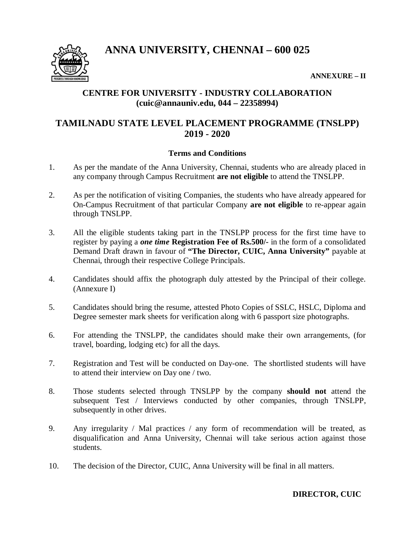**ANNA UNIVERSITY, CHENNAI – 600 025**



**ANNEXURE – II**

### **CENTRE FOR UNIVERSITY - INDUSTRY COLLABORATION (cuic@annauniv.edu, 044 – 22358994)**

## **TAMILNADU STATE LEVEL PLACEMENT PROGRAMME (TNSLPP) 2019 - 2020**

#### **Terms and Conditions**

- 1. As per the mandate of the Anna University, Chennai, students who are already placed in any company through Campus Recruitment **are not eligible** to attend the TNSLPP.
- 2. As per the notification of visiting Companies, the students who have already appeared for On-Campus Recruitment of that particular Company **are not eligible** to re-appear again through TNSLPP.
- 3. All the eligible students taking part in the TNSLPP process for the first time have to register by paying a *one time* **Registration Fee of Rs.500/-** in the form of a consolidated Demand Draft drawn in favour of **"The Director, CUIC, Anna University"** payable at Chennai, through their respective College Principals.
- 4. Candidates should affix the photograph duly attested by the Principal of their college. (Annexure I)
- 5. Candidates should bring the resume, attested Photo Copies of SSLC, HSLC, Diploma and Degree semester mark sheets for verification along with 6 passport size photographs.
- 6. For attending the TNSLPP, the candidates should make their own arrangements, (for travel, boarding, lodging etc) for all the days.
- 7. Registration and Test will be conducted on Day-one. The shortlisted students will have to attend their interview on Day one / two.
- 8. Those students selected through TNSLPP by the company **should not** attend the subsequent Test / Interviews conducted by other companies, through TNSLPP, subsequently in other drives.
- 9. Any irregularity / Mal practices / any form of recommendation will be treated, as disqualification and Anna University, Chennai will take serious action against those students.
- 10. The decision of the Director, CUIC, Anna University will be final in all matters.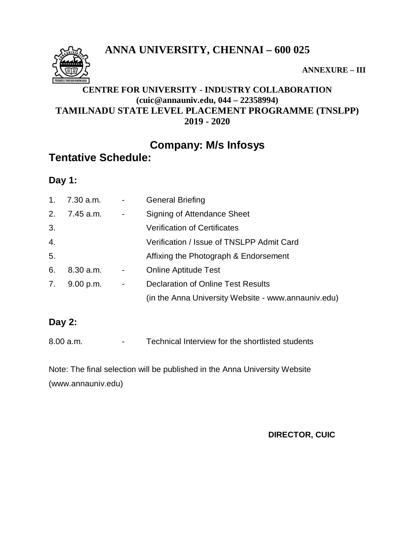**ANNA UNIVERSITY, CHENNAI – 600 025**



**ANNEXURE – III**

## **CENTRE FOR UNIVERSITY - INDUSTRY COLLABORATION (cuic@annauniv.edu, 044 – 22358994) TAMILNADU STATE LEVEL PLACEMENT PROGRAMME (TNSLPP) 2019 - 2020**

## **Company: M/s Infosys**

## **Tentative Schedule:**

**Day 1:**

| 1.               | 7.30 a.m. | $\sim 100$     | <b>General Briefing</b>                             |
|------------------|-----------|----------------|-----------------------------------------------------|
| 2.               | 7.45 a.m. | $\blacksquare$ | Signing of Attendance Sheet                         |
| 3.               |           |                | <b>Verification of Certificates</b>                 |
| $\overline{4}$ . |           |                | Verification / Issue of TNSLPP Admit Card           |
| 5.               |           |                | Affixing the Photograph & Endorsement               |
| 6.               | 8.30 a.m. | $\blacksquare$ | <b>Online Aptitude Test</b>                         |
| 7.               | 9.00 p.m. | $\blacksquare$ | <b>Declaration of Online Test Results</b>           |
|                  |           |                | (in the Anna University Website - www.annauniv.edu) |

## **Day 2:**

Note: The final selection will be published in the Anna University Website (www.annauniv.edu)

**DIRECTOR, CUIC**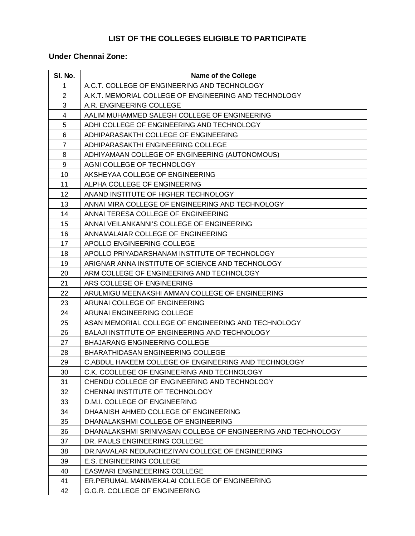## **LIST OF THE COLLEGES ELIGIBLE TO PARTICIPATE**

### **Under Chennai Zone:**

| SI. No.                  | <b>Name of the College</b>                                    |
|--------------------------|---------------------------------------------------------------|
| 1                        | A.C.T. COLLEGE OF ENGINEERING AND TECHNOLOGY                  |
| $\overline{2}$           | A.K.T. MEMORIAL COLLEGE OF ENGINEERING AND TECHNOLOGY         |
| 3                        | A.R. ENGINEERING COLLEGE                                      |
| $\overline{\mathcal{A}}$ | AALIM MUHAMMED SALEGH COLLEGE OF ENGINEERING                  |
| 5                        | ADHI COLLEGE OF ENGINEERING AND TECHNOLOGY                    |
| 6                        | ADHIPARASAKTHI COLLEGE OF ENGINEERING                         |
| $\overline{7}$           | ADHIPARASAKTHI ENGINEERING COLLEGE                            |
| 8                        | ADHIYAMAAN COLLEGE OF ENGINEERING (AUTONOMOUS)                |
| 9                        | AGNI COLLEGE OF TECHNOLOGY                                    |
| 10                       | AKSHEYAA COLLEGE OF ENGINEERING                               |
| 11                       | ALPHA COLLEGE OF ENGINEERING                                  |
| 12                       | ANAND INSTITUTE OF HIGHER TECHNOLOGY                          |
| 13                       | ANNAI MIRA COLLEGE OF ENGINEERING AND TECHNOLOGY              |
| 14                       | ANNAI TERESA COLLEGE OF ENGINEERING                           |
| 15                       | ANNAI VEILANKANNI'S COLLEGE OF ENGINEERING                    |
| 16                       | ANNAMALAIAR COLLEGE OF ENGINEERING                            |
| 17                       | APOLLO ENGINEERING COLLEGE                                    |
| 18                       | APOLLO PRIYADARSHANAM INSTITUTE OF TECHNOLOGY                 |
| 19                       | ARIGNAR ANNA INSTITUTE OF SCIENCE AND TECHNOLOGY              |
| 20                       | ARM COLLEGE OF ENGINEERING AND TECHNOLOGY                     |
| 21                       | ARS COLLEGE OF ENGINEERING                                    |
| 22                       | ARULMIGU MEENAKSHI AMMAN COLLEGE OF ENGINEERING               |
| 23                       | ARUNAI COLLEGE OF ENGINEERING                                 |
| 24                       | ARUNAI ENGINEERING COLLEGE                                    |
| 25                       | ASAN MEMORIAL COLLEGE OF ENGINEERING AND TECHNOLOGY           |
| 26                       | BALAJI INSTITUTE OF ENGINEERING AND TECHNOLOGY                |
| 27                       | <b>BHAJARANG ENGINEERING COLLEGE</b>                          |
| 28                       | <b>BHARATHIDASAN ENGINEERING COLLEGE</b>                      |
| 29                       | C.ABDUL HAKEEM COLLEGE OF ENGINEERING AND TECHNOLOGY          |
| 30                       | C.K. CCOLLEGE OF ENGINEERING AND TECHNOLOGY                   |
| 31                       | CHENDU COLLEGE OF ENGINEERING AND TECHNOLOGY                  |
| 32                       | CHENNAI INSTITUTE OF TECHNOLOGY                               |
| 33                       | D.M.I. COLLEGE OF ENGINEERING                                 |
| 34                       | DHAANISH AHMED COLLEGE OF ENGINEERING                         |
| 35                       | DHANALAKSHMI COLLEGE OF ENGINEERING                           |
| 36                       | DHANALAKSHMI SRINIVASAN COLLEGE OF ENGINEERING AND TECHNOLOGY |
| 37                       | DR. PAULS ENGINEERING COLLEGE                                 |
| 38                       | DR.NAVALAR NEDUNCHEZIYAN COLLEGE OF ENGINEERING               |
| 39                       | E.S. ENGINEERING COLLEGE                                      |
| 40                       | <b>EASWARI ENGINEEERING COLLEGE</b>                           |
| 41                       | ER. PERUMAL MANIMEKALAI COLLEGE OF ENGINEERING                |
| 42                       | G.G.R. COLLEGE OF ENGINEERING                                 |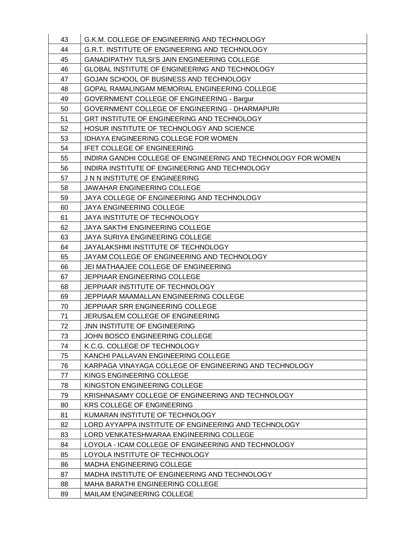| 43 | G.K.M. COLLEGE OF ENGINEERING AND TECHNOLOGY                  |
|----|---------------------------------------------------------------|
| 44 | G.R.T. INSTITUTE OF ENGINEERING AND TECHNOLOGY                |
| 45 | <b>GANADIPATHY TULSI'S JAIN ENGINEERING COLLEGE</b>           |
| 46 | GLOBAL INSTITUTE OF ENGINEERING AND TECHNOLOGY                |
| 47 | GOJAN SCHOOL OF BUSINESS AND TECHNOLOGY                       |
| 48 | GOPAL RAMALINGAM MEMORIAL ENGINEERING COLLEGE                 |
| 49 | GOVERNMENT COLLEGE OF ENGINEERING - Bargur                    |
| 50 | GOVERNMENT COLLEGE OF ENGINEERING - DHARMAPURI                |
| 51 | GRT INSTITUTE OF ENGINEERING AND TECHNOLOGY                   |
| 52 | HOSUR INSTITUTE OF TECHNOLOGY AND SCIENCE                     |
| 53 | IDHAYA ENGINEERING COLLEGE FOR WOMEN                          |
| 54 | <b>IFET COLLEGE OF ENGINEERING</b>                            |
| 55 | INDIRA GANDHI COLLEGE OF ENGINEERING AND TECHNOLOGY FOR WOMEN |
| 56 | INDIRA INSTITUTE OF ENGINEERING AND TECHNOLOGY                |
| 57 | J N N INSTITUTE OF ENGINEERING                                |
| 58 | JAWAHAR ENGINEERING COLLEGE                                   |
| 59 | JAYA COLLEGE OF ENGINEERING AND TECHNOLOGY                    |
| 60 | JAYA ENGINEERING COLLEGE                                      |
| 61 | JAYA INSTITUTE OF TECHNOLOGY                                  |
| 62 | <b>JAYA SAKTHI ENGINEERING COLLEGE</b>                        |
| 63 | JAYA SURIYA ENGINEERING COLLEGE                               |
| 64 | JAYALAKSHMI INSTITUTE OF TECHNOLOGY                           |
| 65 | JAYAM COLLEGE OF ENGINEERING AND TECHNOLOGY                   |
| 66 | JEI MATHAAJEE COLLEGE OF ENGINEERING                          |
| 67 | JEPPIAAR ENGINEERING COLLEGE                                  |
| 68 | JEPPIAAR INSTITUTE OF TECHNOLOGY                              |
| 69 | JEPPIAAR MAAMALLAN ENGINEERING COLLEGE                        |
| 70 | JEPPIAAR SRR ENGINEERING COLLEGE                              |
| 71 | JERUSALEM COLLEGE OF ENGINEERING                              |
| 72 | JNN INSTITUTE OF ENGINEERING                                  |
| 73 | JOHN BOSCO ENGINEERING COLLEGE                                |
| 74 | K.C.G. COLLEGE OF TECHNOLOGY                                  |
| 75 | KANCHI PALLAVAN ENGINEERING COLLEGE                           |
| 76 | KARPAGA VINAYAGA COLLEGE OF ENGINEERING AND TECHNOLOGY        |
| 77 | KINGS ENGINEERING COLLEGE                                     |
| 78 | KINGSTON ENGINEERING COLLEGE                                  |
| 79 | KRISHNASAMY COLLEGE OF ENGINEERING AND TECHNOLOGY             |
| 80 | <b>KRS COLLEGE OF ENGINEERING</b>                             |
| 81 | KUMARAN INSTITUTE OF TECHNOLOGY                               |
| 82 | LORD AYYAPPA INSTITUTE OF ENGINEERING AND TECHNOLOGY          |
| 83 | LORD VENKATESHWARAA ENGINEERING COLLEGE                       |
| 84 | LOYOLA - ICAM COLLEGE OF ENGINEERING AND TECHNOLOGY           |
| 85 | LOYOLA INSTITUTE OF TECHNOLOGY                                |
| 86 | <b>MADHA ENGINEERING COLLEGE</b>                              |
| 87 | MADHA INSTITUTE OF ENGINEERING AND TECHNOLOGY                 |
| 88 | MAHA BARATHI ENGINEERING COLLEGE                              |
| 89 | <b>MAILAM ENGINEERING COLLEGE</b>                             |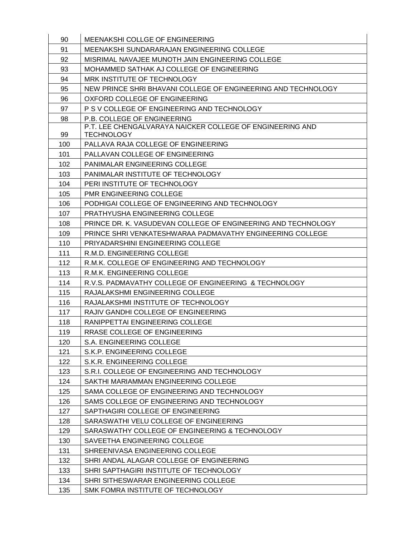| 90  | MEENAKSHI COLLGE OF ENGINEERING                               |
|-----|---------------------------------------------------------------|
| 91  | MEENAKSHI SUNDARARAJAN ENGINEERING COLLEGE                    |
| 92  | MISRIMAL NAVAJEE MUNOTH JAIN ENGINEERING COLLEGE              |
| 93  | MOHAMMED SATHAK AJ COLLEGE OF ENGINEERING                     |
| 94  | MRK INSTITUTE OF TECHNOLOGY                                   |
| 95  | NEW PRINCE SHRI BHAVANI COLLEGE OF ENGINEERING AND TECHNOLOGY |
| 96  | OXFORD COLLEGE OF ENGINEERING                                 |
| 97  | P S V COLLEGE OF ENGINEERING AND TECHNOLOGY                   |
| 98  | P.B. COLLEGE OF ENGINEERING                                   |
|     | P.T. LEE CHENGALVARAYA NAICKER COLLEGE OF ENGINEERING AND     |
| 99  | <b>TECHNOLOGY</b>                                             |
| 100 | PALLAVA RAJA COLLEGE OF ENGINEERING                           |
| 101 | PALLAVAN COLLEGE OF ENGINEERING                               |
| 102 | PANIMALAR ENGINEERING COLLEGE                                 |
| 103 | PANIMALAR INSTITUTE OF TECHNOLOGY                             |
| 104 | PERI INSTITUTE OF TECHNOLOGY                                  |
| 105 | <b>PMR ENGINEERING COLLEGE</b>                                |
| 106 | PODHIGAI COLLEGE OF ENGINEERING AND TECHNOLOGY                |
| 107 | PRATHYUSHA ENGINEERING COLLEGE                                |
| 108 | PRINCE DR. K. VASUDEVAN COLLEGE OF ENGINEERING AND TECHNOLOGY |
| 109 | PRINCE SHRI VENKATESHWARAA PADMAVATHY ENGINEERING COLLEGE     |
| 110 | PRIYADARSHINI ENGINEERING COLLEGE                             |
| 111 | R.M.D. ENGINEERING COLLEGE                                    |
| 112 | R.M.K. COLLEGE OF ENGINEERING AND TECHNOLOGY                  |
| 113 | R.M.K. ENGINEERING COLLEGE                                    |
| 114 | R.V.S. PADMAVATHY COLLEGE OF ENGINEERING & TECHNOLOGY         |
| 115 | RAJALAKSHMI ENGINEERING COLLEGE                               |
| 116 | RAJALAKSHMI INSTITUTE OF TECHNOLOGY                           |
| 117 | RAJIV GANDHI COLLEGE OF ENGINEERING                           |
| 118 | RANIPPETTAI ENGINEERING COLLEGE                               |
| 119 | RRASE COLLEGE OF ENGINEERING                                  |
| 120 | S.A. ENGINEERING COLLEGE                                      |
| 121 | S.K.P. ENGINEERING COLLEGE                                    |
| 122 | S.K.R. ENGINEERING COLLEGE                                    |
| 123 | S.R.I. COLLEGE OF ENGINEERING AND TECHNOLOGY                  |
| 124 | SAKTHI MARIAMMAN ENGINEERING COLLEGE                          |
| 125 | SAMA COLLEGE OF ENGINEERING AND TECHNOLOGY                    |
| 126 | SAMS COLLEGE OF ENGINEERING AND TECHNOLOGY                    |
| 127 | SAPTHAGIRI COLLEGE OF ENGINEERING                             |
| 128 | SARASWATHI VELU COLLEGE OF ENGINEERING                        |
| 129 | SARASWATHY COLLEGE OF ENGINEERING & TECHNOLOGY                |
| 130 | SAVEETHA ENGINEERING COLLEGE                                  |
| 131 | SHREENIVASA ENGINEERING COLLEGE                               |
| 132 | SHRI ANDAL ALAGAR COLLEGE OF ENGINEERING                      |
| 133 | SHRI SAPTHAGIRI INSTITUTE OF TECHNOLOGY                       |
| 134 | SHRI SITHESWARAR ENGINEERING COLLEGE                          |
| 135 | SMK FOMRA INSTITUTE OF TECHNOLOGY                             |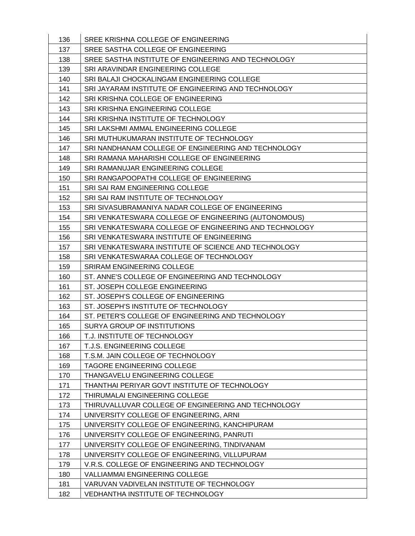| 136 | SREE KRISHNA COLLEGE OF ENGINEERING                    |
|-----|--------------------------------------------------------|
| 137 | SREE SASTHA COLLEGE OF ENGINEERING                     |
| 138 | SREE SASTHA INSTITUTE OF ENGINEERING AND TECHNOLOGY    |
| 139 | SRI ARAVINDAR ENGINEERING COLLEGE                      |
| 140 | SRI BALAJI CHOCKALINGAM ENGINEERING COLLEGE            |
| 141 | SRI JAYARAM INSTITUTE OF ENGINEERING AND TECHNOLOGY    |
| 142 | SRI KRISHNA COLLEGE OF ENGINEERING                     |
| 143 | SRI KRISHNA ENGINEERING COLLEGE                        |
| 144 | SRI KRISHNA INSTITUTE OF TECHNOLOGY                    |
| 145 | SRI LAKSHMI AMMAL ENGINEERING COLLEGE                  |
| 146 | SRI MUTHUKUMARAN INSTITUTE OF TECHNOLOGY               |
| 147 | SRI NANDHANAM COLLEGE OF ENGINEERING AND TECHNOLOGY    |
| 148 | SRI RAMANA MAHARISHI COLLEGE OF ENGINEERING            |
| 149 | SRI RAMANUJAR ENGINEERING COLLEGE                      |
| 150 | SRI RANGAPOOPATHI COLLEGE OF ENGINEERING               |
| 151 | SRI SAI RAM ENGINEERING COLLEGE                        |
| 152 | SRI SAI RAM INSTITUTE OF TECHNOLOGY                    |
| 153 | SRI SIVASUBRAMANIYA NADAR COLLEGE OF ENGINEERING       |
| 154 | SRI VENKATESWARA COLLEGE OF ENGINEERING (AUTONOMOUS)   |
| 155 | SRI VENKATESWARA COLLEGE OF ENGINEERING AND TECHNOLOGY |
| 156 | SRI VENKATESWARA INSTITUTE OF ENGINEERING              |
| 157 | SRI VENKATESWARA INSTITUTE OF SCIENCE AND TECHNOLOGY   |
| 158 | SRI VENKATESWARAA COLLEGE OF TECHNOLOGY                |
| 159 | <b>SRIRAM ENGINEERING COLLEGE</b>                      |
| 160 | ST. ANNE'S COLLEGE OF ENGINEERING AND TECHNOLOGY       |
| 161 | ST. JOSEPH COLLEGE ENGINEERING                         |
| 162 | ST. JOSEPH'S COLLEGE OF ENGINEERING                    |
| 163 | ST. JOSEPH'S INSTITUTE OF TECHNOLOGY                   |
| 164 | ST. PETER'S COLLEGE OF ENGINEERING AND TECHNOLOGY      |
| 165 | SURYA GROUP OF INSTITUTIONS                            |
| 166 | T.J. INSTITUTE OF TECHNOLOGY                           |
| 167 | T.J.S. ENGINEERING COLLEGE                             |
| 168 | T.S.M. JAIN COLLEGE OF TECHNOLOGY                      |
| 169 | <b>TAGORE ENGINEERING COLLEGE</b>                      |
| 170 | THANGAVELU ENGINEERING COLLEGE                         |
| 171 | THANTHAI PERIYAR GOVT INSTITUTE OF TECHNOLOGY          |
| 172 | THIRUMALAI ENGINEERING COLLEGE                         |
| 173 | THIRUVALLUVAR COLLEGE OF ENGINEERING AND TECHNOLOGY    |
| 174 | UNIVERSITY COLLEGE OF ENGINEERING, ARNI                |
| 175 | UNIVERSITY COLLEGE OF ENGINEERING, KANCHIPURAM         |
| 176 | UNIVERSITY COLLEGE OF ENGINEERING, PANRUTI             |
| 177 | UNIVERSITY COLLEGE OF ENGINEERING, TINDIVANAM          |
| 178 | UNIVERSITY COLLEGE OF ENGINEERING, VILLUPURAM          |
| 179 | V.R.S. COLLEGE OF ENGINEERING AND TECHNOLOGY           |
| 180 | <b>VALLIAMMAI ENGINEERING COLLEGE</b>                  |
| 181 | VARUVAN VADIVELAN INSTITUTE OF TECHNOLOGY              |
| 182 | VEDHANTHA INSTITUTE OF TECHNOLOGY                      |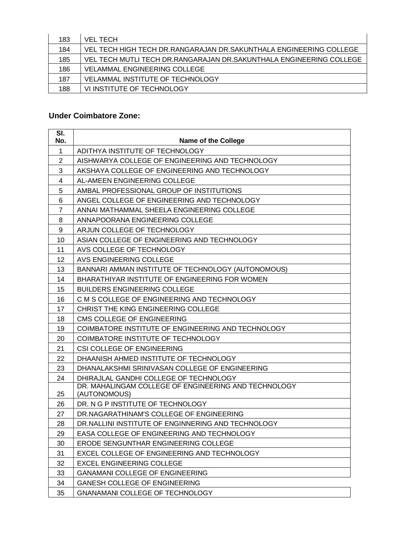| 183 | VEL TECH                                                              |
|-----|-----------------------------------------------------------------------|
| 184 | VEL TECH HIGH TECH DR.RANGARAJAN DR.SAKUNTHALA ENGINEERING COLLEGE    |
| 185 | VEL TECH MUTLI TECH DR. RANGARAJAN DR. SAKUNTHALA ENGINEERING COLLEGE |
| 186 | <b>VELAMMAL ENGINEERING COLLEGE</b>                                   |
| 187 | <b>VELAMMAL INSTITUTE OF TECHNOLOGY</b>                               |
| 188 | VI INSTITUTE OF TECHNOLOGY                                            |

### **Under Coimbatore Zone:**

| SI.<br>No.     | <b>Name of the College</b>                                           |
|----------------|----------------------------------------------------------------------|
| $\mathbf{1}$   | ADITHYA INSTITUTE OF TECHNOLOGY                                      |
| $\overline{2}$ | AISHWARYA COLLEGE OF ENGINEERING AND TECHNOLOGY                      |
| 3              | AKSHAYA COLLEGE OF ENGINEERING AND TECHNOLOGY                        |
| 4              | AL-AMEEN ENGINEERING COLLEGE                                         |
| 5              | AMBAL PROFESSIONAL GROUP OF INSTITUTIONS                             |
| 6              | ANGEL COLLEGE OF ENGINEERING AND TECHNOLOGY                          |
| $\overline{7}$ | ANNAI MATHAMMAL SHEELA ENGINEERING COLLEGE                           |
| 8              | ANNAPOORANA ENGINEERING COLLEGE                                      |
| 9              | ARJUN COLLEGE OF TECHNOLOGY                                          |
| 10             | ASIAN COLLEGE OF ENGINEERING AND TECHNOLOGY                          |
| 11             | AVS COLLEGE OF TECHNOLOGY                                            |
| 12             | AVS ENGINEERING COLLEGE                                              |
| 13             | BANNARI AMMAN INSTITUTE OF TECHNOLOGY (AUTONOMOUS)                   |
| 14             | BHARATHIYAR INSTITUTE OF ENGINEERING FOR WOMEN                       |
| 15             | <b>BUILDERS ENGINEERING COLLEGE</b>                                  |
| 16             | C M S COLLEGE OF ENGINEERING AND TECHNOLOGY                          |
| 17             | CHRIST THE KING ENGINEERING COLLEGE                                  |
| 18             | CMS COLLEGE OF ENGINEERING                                           |
| 19             | COIMBATORE INSTITUTE OF ENGINEERING AND TECHNOLOGY                   |
| 20             | COIMBATORE INSTITUTE OF TECHNOLOGY                                   |
| 21             | CSI COLLEGE OF ENGINEERING                                           |
| 22             | DHAANISH AHMED INSTITUTE OF TECHNOLOGY                               |
| 23             | DHANALAKSHMI SRINIVASAN COLLEGE OF ENGINEERING                       |
| 24             | DHIRAJLAL GANDHI COLLEGE OF TECHNOLOGY                               |
| 25             | DR. MAHALINGAM COLLEGE OF ENGINEERING AND TECHNOLOGY<br>(AUTONOMOUS) |
| 26             | DR. N G P INSTITUTE OF TECHNOLOGY                                    |
| 27             | DR.NAGARATHINAM'S COLLEGE OF ENGINEERING                             |
| 28             | DR. NALLINI INSTITUTE OF ENGINNERING AND TECHNOLOGY                  |
| 29             | EASA COLLEGE OF ENGINEERING AND TECHNOLOGY                           |
| 30             | ERODE SENGUNTHAR ENGINEERING COLLEGE                                 |
| 31             | EXCEL COLLEGE OF ENGINEERING AND TECHNOLOGY                          |
| 32             | <b>EXCEL ENGINEERING COLLEGE</b>                                     |
| 33             | <b>GANAMANI COLLEGE OF ENGINEERING</b>                               |
| 34             | <b>GANESH COLLEGE OF ENGINEERING</b>                                 |
| 35             | <b>GNANAMANI COLLEGE OF TECHNOLOGY</b>                               |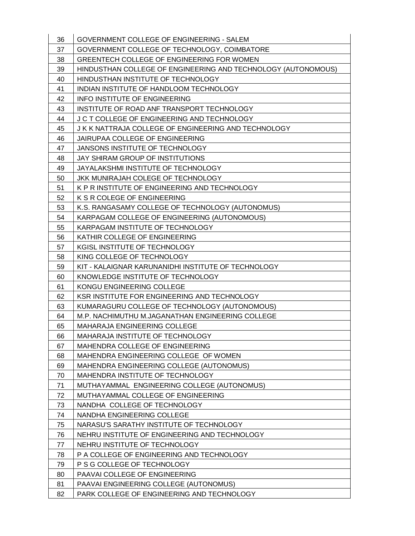| 36 | GOVERNMENT COLLEGE OF ENGINEERING - SALEM                     |
|----|---------------------------------------------------------------|
| 37 | GOVERNMENT COLLEGE OF TECHNOLOGY, COIMBATORE                  |
| 38 | GREENTECH COLLEGE OF ENGINEERING FOR WOMEN                    |
| 39 | HINDUSTHAN COLLEGE OF ENGINEERING AND TECHNOLOGY (AUTONOMOUS) |
| 40 | HINDUSTHAN INSTITUTE OF TECHNOLOGY                            |
| 41 | INDIAN INSTITUTE OF HANDLOOM TECHNOLOGY                       |
| 42 | <b>INFO INSTITUTE OF ENGINEERING</b>                          |
| 43 | INSTITUTE OF ROAD ANF TRANSPORT TECHNOLOGY                    |
| 44 | J C T COLLEGE OF ENGINEERING AND TECHNOLOGY                   |
| 45 | J K K NATTRAJA COLLEGE OF ENGINEERING AND TECHNOLOGY          |
| 46 | JAIRUPAA COLLEGE OF ENGINEERING                               |
| 47 | JANSONS INSTITUTE OF TECHNOLOGY                               |
| 48 | JAY SHIRAM GROUP OF INSTITUTIONS                              |
| 49 | JAYALAKSHMI INSTITUTE OF TECHNOLOGY                           |
| 50 | JKK MUNIRAJAH COLEGE OF TECHNOLOGY                            |
| 51 | K P R INSTITUTE OF ENGINEERING AND TECHNOLOGY                 |
| 52 | K S R COLEGE OF ENGINEERING                                   |
| 53 | K.S. RANGASAMY COLLEGE OF TECHNOLOGY (AUTONOMUS)              |
| 54 | KARPAGAM COLLEGE OF ENGINEERING (AUTONOMOUS)                  |
| 55 | KARPAGAM INSTITUTE OF TECHNOLOGY                              |
| 56 | KATHIR COLLEGE OF ENGINEERING                                 |
| 57 | KGISL INSTITUTE OF TECHNOLOGY                                 |
| 58 | KING COLLEGE OF TECHNOLOGY                                    |
| 59 | KIT - KALAIGNAR KARUNANIDHI INSTITUTE OF TECHNOLOGY           |
| 60 | KNOWLEDGE INSTITUTE OF TECHNOLOGY                             |
| 61 | KONGU ENGINEERING COLLEGE                                     |
| 62 | KSR INSTITUTE FOR ENGINEERING AND TECHNOLOGY                  |
| 63 | KUMARAGURU COLLEGE OF TECHNOLOGY (AUTONOMOUS)                 |
| 64 | M.P. NACHIMUTHU M.JAGANATHAN ENGINEERING COLLEGE              |
| 65 | <b>MAHARAJA ENGINEERING COLLEGE</b>                           |
| 66 | MAHARAJA INSTITUTE OF TECHNOLOGY                              |
| 67 | MAHENDRA COLLEGE OF ENGINEERING                               |
| 68 | MAHENDRA ENGINEERING COLLEGE OF WOMEN                         |
| 69 | MAHENDRA ENGINEERING COLLEGE (AUTONOMUS)                      |
| 70 | MAHENDRA INSTITUTE OF TECHNOLOGY                              |
| 71 | MUTHAYAMMAL ENGINEERING COLLEGE (AUTONOMUS)                   |
| 72 | MUTHAYAMMAL COLLEGE OF ENGINEERING                            |
| 73 | NANDHA COLLEGE OF TECHNOLOGY                                  |
| 74 | NANDHA ENGINEERING COLLEGE                                    |
| 75 | NARASU'S SARATHY INSTITUTE OF TECHNOLOGY                      |
| 76 | NEHRU INSTITUTE OF ENGINEERING AND TECHNOLOGY                 |
|    |                                                               |
| 77 | NEHRU INSTITUTE OF TECHNOLOGY                                 |
| 78 | P A COLLEGE OF ENGINEERING AND TECHNOLOGY                     |
| 79 | P S G COLLEGE OF TECHNOLOGY                                   |
| 80 | PAAVAI COLLEGE OF ENGINEERING                                 |
| 81 | PAAVAI ENGINEERING COLLEGE (AUTONOMUS)                        |
| 82 | PARK COLLEGE OF ENGINEERING AND TECHNOLOGY                    |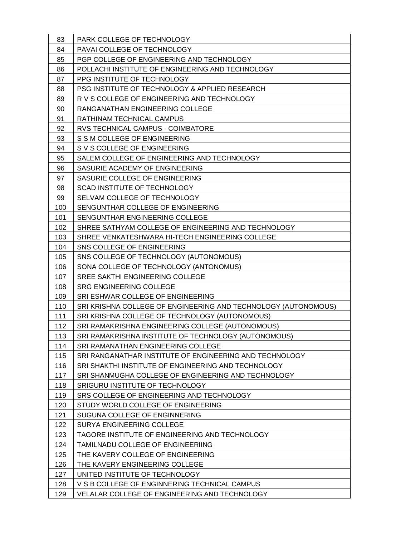| 83  | PARK COLLEGE OF TECHNOLOGY                                     |
|-----|----------------------------------------------------------------|
| 84  | PAVAI COLLEGE OF TECHNOLOGY                                    |
| 85  | PGP COLLEGE OF ENGINEERING AND TECHNOLOGY                      |
| 86  | POLLACHI INSTITUTE OF ENGINEERING AND TECHNOLOGY               |
| 87  | PPG INSTITUTE OF TECHNOLOGY                                    |
| 88  | PSG INSTITUTE OF TECHNOLOGY & APPLIED RESEARCH                 |
| 89  | R V S COLLEGE OF ENGINEERING AND TECHNOLOGY                    |
| 90  | RANGANATHAN ENGINEERING COLLEGE                                |
| 91  | RATHINAM TECHNICAL CAMPUS                                      |
| 92  | RVS TECHNICAL CAMPUS - COIMBATORE                              |
| 93  | S S M COLLEGE OF ENGINEERING                                   |
| 94  | S V S COLLEGE OF ENGINEERING                                   |
| 95  | SALEM COLLEGE OF ENGINEERING AND TECHNOLOGY                    |
| 96  | SASURIE ACADEMY OF ENGINEERING                                 |
| 97  | SASURIE COLLEGE OF ENGINEERING                                 |
| 98  | SCAD INSTITUTE OF TECHNOLOGY                                   |
| 99  | SELVAM COLLEGE OF TECHNOLOGY                                   |
| 100 | SENGUNTHAR COLLEGE OF ENGINEERING                              |
| 101 | SENGUNTHAR ENGINEERING COLLEGE                                 |
| 102 | SHREE SATHYAM COLLEGE OF ENGINEERING AND TECHNOLOGY            |
| 103 | SHREE VENKATESHWARA HI-TECH ENGINEERING COLLEGE                |
| 104 | SNS COLLEGE OF ENGINEERING                                     |
| 105 | SNS COLLEGE OF TECHNOLOGY (AUTONOMOUS)                         |
| 106 | SONA COLLEGE OF TECHNOLOGY (ANTONOMUS)                         |
| 107 | SREE SAKTHI ENGINEERING COLLEGE                                |
| 108 | <b>SRG ENGINEERING COLLEGE</b>                                 |
| 109 | SRI ESHWAR COLLEGE OF ENGINEERING                              |
| 110 | SRI KRISHNA COLLEGE OF ENGINEERING AND TECHNOLOGY (AUTONOMOUS) |
| 111 | SRI KRISHNA COLLEGE OF TECHNOLOGY (AUTONOMOUS)                 |
| 112 | SRI RAMAKRISHNA ENGINEERING COLLEGE (AUTONOMOUS)               |
| 113 | SRI RAMAKRISHNA INSTITUTE OF TECHNOLOGY (AUTONOMOUS)           |
| 114 | <b>SRI RAMANATHAN ENGINEERING COLLEGE</b>                      |
| 115 | SRI RANGANATHAR INSTITUTE OF ENGINEERING AND TECHNOLOGY        |
| 116 | SRI SHAKTHI INSTITUTE OF ENGINEERING AND TECHNOLOGY            |
| 117 | SRI SHANMUGHA COLLEGE OF ENGINEERING AND TECHNOLOGY            |
| 118 | SRIGURU INSTITUTE OF TECHNOLOGY                                |
| 119 | SRS COLLEGE OF ENGINEERING AND TECHNOLOGY                      |
| 120 | STUDY WORLD COLLEGE OF ENGINEERING                             |
| 121 | SUGUNA COLLEGE OF ENGINNERING                                  |
| 122 | SURYA ENGINEERING COLLEGE                                      |
| 123 | TAGORE INSTITUTE OF ENGINEERING AND TECHNOLOGY                 |
| 124 | TAMILNADU COLLEGE OF ENGINEERIING                              |
| 125 | THE KAVERY COLLEGE OF ENGINEERING                              |
| 126 | THE KAVERY ENGINEERING COLLEGE                                 |
| 127 | UNITED INSTITUTE OF TECHNOLOGY                                 |
| 128 | V S B COLLEGE OF ENGINNERING TECHNICAL CAMPUS                  |
|     |                                                                |
|     |                                                                |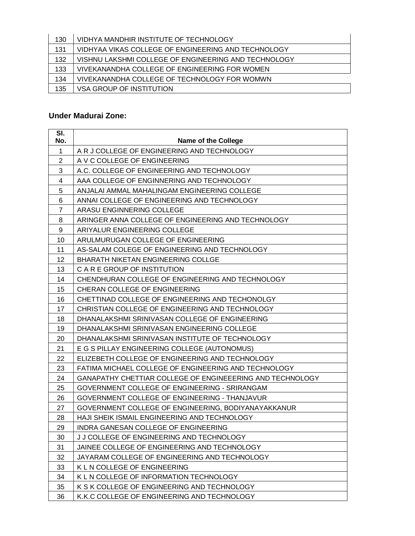| 130 | VIDHYA MANDHIR INSTITUTE OF TECHNOLOGY               |
|-----|------------------------------------------------------|
| 131 | VIDHYAA VIKAS COLLEGE OF ENGINEERING AND TECHNOLOGY  |
| 132 | VISHNU LAKSHMI COLLEGE OF ENGINEERING AND TECHNOLOGY |
| 133 | VIVEKANANDHA COLLEGE OF ENGINEERING FOR WOMEN        |
| 134 | VIVEKANANDHA COLLEGE OF TECHNOLOGY FOR WOMWN         |
| 135 | VSA GROUP OF INSTITUTION                             |

### **Under Madurai Zone:**

| SI.<br>No.     | <b>Name of the College</b>                                |
|----------------|-----------------------------------------------------------|
| $\mathbf 1$    | A R J COLLEGE OF ENGINEERING AND TECHNOLOGY               |
| $\overline{2}$ | A V C COLLEGE OF ENGINEERING                              |
| 3              | A.C. COLLEGE OF ENGINEERING AND TECHNOLOGY                |
| 4              | AAA COLLEGE OF ENGINNERING AND TECHNOLOGY                 |
| 5              | ANJALAI AMMAL MAHALINGAM ENGINEERING COLLEGE              |
| 6              | ANNAI COLLEGE OF ENGINEERING AND TECHNOLOGY               |
| $\overline{7}$ | ARASU ENGINNERING COLLEGE                                 |
| 8              | ARINGER ANNA COLLEGE OF ENGINEERING AND TECHNOLOGY        |
| 9              | ARIYALUR ENGINEERING COLLEGE                              |
| 10             | ARULMURUGAN COLLEGE OF ENGINEERING                        |
| 11             | AS-SALAM COLEGE OF ENGINEERING AND TECHNOLOGY             |
| 12             | <b>BHARATH NIKETAN ENGINEERING COLLGE</b>                 |
| 13             | C A R E GROUP OF INSTITUTION                              |
| 14             | CHENDHURAN COLLEGE OF ENGINEERING AND TECHNOLOGY          |
| 15             | CHERAN COLLEGE OF ENGINEERING                             |
| 16             | CHETTINAD COLLEGE OF ENGINEERING AND TECHONOLGY           |
| 17             | CHRISTIAN COLLEGE OF ENGINEERING AND TECHNOLOGY           |
| 18             | DHANALAKSHMI SRINIVASAN COLLEGE OF ENGINEERING            |
| 19             | DHANALAKSHMI SRINIVASAN ENGINEERING COLLEGE               |
| 20             | DHANALAKSHMI SRINIVASAN INSTITUTE OF TECHNOLOGY           |
| 21             | E G S PILLAY ENGINEERING COLLEGE (AUTONOMUS)              |
| 22             | ELIZEBETH COLLEGE OF ENGINEERING AND TECHNOLOGY           |
| 23             | FATIMA MICHAEL COLLEGE OF ENGINEERING AND TECHNOLOGY      |
| 24             | GANAPATHY CHETTIAR COLLEGE OF ENGINEEERING AND TECHNOLOGY |
| 25             | GOVERNMENT COLLEGE OF ENGINEERING - SRIRANGAM             |
| 26             | GOVERNMENT COLLEGE OF ENGINEERING - THANJAVUR             |
| 27             | GOVERNMENT COLLEGE OF ENGINEERING, BODIYANAYAKKANUR       |
| 28             | HAJI SHEIK ISMAIL ENGINEERING AND TECHNOLOGY              |
| 29             | INDRA GANESAN COLLEGE OF ENGINEERING                      |
| 30             | J J COLLEGE OF ENGINEERING AND TECHNOLOGY                 |
| 31             | JAINEE COLLEGE OF ENGINEERING AND TECHNOLOGY              |
| 32             | JAYARAM COLLEGE OF ENGINEERING AND TECHNOLOGY             |
| 33             | K L N COLLEGE OF ENGINEERING                              |
| 34             | K L N COLLEGE OF INFORMATION TECHNOLOGY                   |
| 35             | K S K COLLEGE OF ENGINEERING AND TECHNOLOGY               |
| 36             | K.K.C COLLEGE OF ENGINEERING AND TECHNOLOGY               |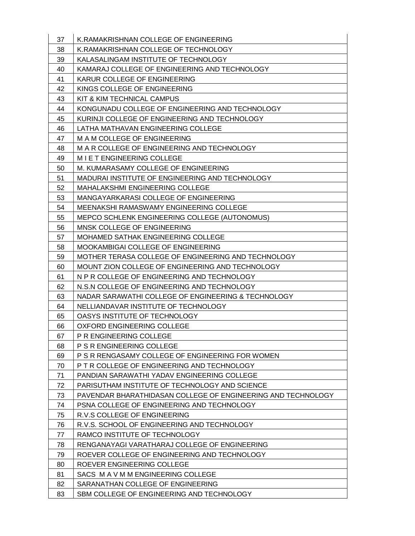| 37 | K. RAMAKRISHNAN COLLEGE OF ENGINEERING                       |
|----|--------------------------------------------------------------|
| 38 | K.RAMAKRISHNAN COLLEGE OF TECHNOLOGY                         |
| 39 | KALASALINGAM INSTITUTE OF TECHNOLOGY                         |
| 40 | KAMARAJ COLLEGE OF ENGINEERING AND TECHNOLOGY                |
| 41 | KARUR COLLEGE OF ENGINEERING                                 |
| 42 | KINGS COLLEGE OF ENGINEERING                                 |
| 43 | KIT & KIM TECHNICAL CAMPUS                                   |
| 44 | KONGUNADU COLLEGE OF ENGINEERING AND TECHNOLOGY              |
| 45 | KURINJI COLLEGE OF ENGINEERING AND TECHNOLOGY                |
| 46 | LATHA MATHAVAN ENGINEERING COLLEGE                           |
| 47 | M A M COLLEGE OF ENGINEERING                                 |
| 48 | M A R COLLEGE OF ENGINEERING AND TECHNOLOGY                  |
| 49 | M I E T ENGINEERING COLLEGE                                  |
| 50 | M. KUMARASAMY COLLEGE OF ENGINEERING                         |
| 51 | MADURAI INSTITUTE OF ENGINEERING AND TECHNOLOGY              |
| 52 | MAHALAKSHMI ENGINEERING COLLEGE                              |
| 53 | MANGAYARKARASI COLLEGE OF ENGINEERING                        |
| 54 | MEENAKSHI RAMASWAMY ENGINEERING COLLEGE                      |
| 55 | MEPCO SCHLENK ENGINEERING COLLEGE (AUTONOMUS)                |
| 56 | MNSK COLLEGE OF ENGINEERING                                  |
| 57 | MOHAMED SATHAK ENGINEERING COLLEGE                           |
| 58 | MOOKAMBIGAI COLLEGE OF ENGINEERING                           |
| 59 | MOTHER TERASA COLLEGE OF ENGINEERING AND TECHNOLOGY          |
| 60 | MOUNT ZION COLLEGE OF ENGINEERING AND TECHNOLOGY             |
| 61 | N P R COLLEGE OF ENGINEERING AND TECHNOLOGY                  |
| 62 | N.S.N COLLEGE OF ENGINEERING AND TECHNOLOGY                  |
| 63 | NADAR SARAWATHI COLLEGE OF ENGINEERING & TECHNOLOGY          |
| 64 | NELLIANDAVAR INSTITUTE OF TECHNOLOGY                         |
| 65 | OASYS INSTITUTE OF TECHNOLOGY                                |
| 66 | OXFORD ENGINEERING COLLEGE                                   |
| 67 | P R ENGINEERING COLLEGE                                      |
| 68 | P S R ENGINEERING COLLEGE                                    |
| 69 | P S R RENGASAMY COLLEGE OF ENGINEERING FOR WOMEN             |
| 70 | P T R COLLEGE OF ENGINEERING AND TECHNOLOGY                  |
| 71 | PANDIAN SARAWATHI YADAV ENGINEERING COLLEGE                  |
| 72 | PARISUTHAM INSTITUTE OF TECHNOLOGY AND SCIENCE               |
| 73 | PAVENDAR BHARATHIDASAN COLLEGE OF ENGINEERING AND TECHNOLOGY |
| 74 | PSNA COLLEGE OF ENGINEERING AND TECHNOLOGY                   |
| 75 | R.V.S COLLEGE OF ENGINEERING                                 |
| 76 | R.V.S. SCHOOL OF ENGINEERING AND TECHNOLOGY                  |
| 77 | RAMCO INSTITUTE OF TECHNOLOGY                                |
| 78 | RENGANAYAGI VARATHARAJ COLLEGE OF ENGINEERING                |
| 79 | ROEVER COLLEGE OF ENGINEERING AND TECHNOLOGY                 |
| 80 | ROEVER ENGINEERING COLLEGE                                   |
| 81 | SACS MAVMMENGINEERING COLLEGE                                |
| 82 | SARANATHAN COLLEGE OF ENGINEERING                            |
| 83 | SBM COLLEGE OF ENGINEERING AND TECHNOLOGY                    |
|    |                                                              |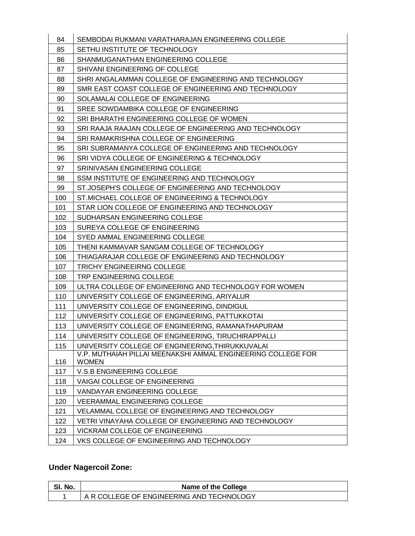| 84  | SEMBODAI RUKMANI VARATHARAJAN ENGINEERING COLLEGE                            |
|-----|------------------------------------------------------------------------------|
| 85  | SETHU INSTITUTE OF TECHNOLOGY                                                |
| 86  | SHANMUGANATHAN ENGINEERING COLLEGE                                           |
| 87  | SHIVANI ENGINEERING OF COLLEGE                                               |
| 88  | SHRI ANGALAMMAN COLLEGE OF ENGINEERING AND TECHNOLOGY                        |
| 89  | SMR EAST COAST COLLEGE OF ENGINEERING AND TECHNOLOGY                         |
| 90  | SOLAMALAI COLLEGE OF ENGINEERING                                             |
| 91  | SREE SOWDAMBIKA COLLEGE OF ENGINEERING                                       |
| 92  | SRI BHARATHI ENGINEERING COLLEGE OF WOMEN                                    |
| 93  | SRI RAAJA RAAJAN COLLEGE OF ENGINEERING AND TECHNOLOGY                       |
| 94  | SRI RAMAKRISHNA COLLEGE OF ENGINEERING                                       |
| 95  | SRI SUBRAMANYA COLLEGE OF ENGINEERING AND TECHNOLOGY                         |
| 96  | SRI VIDYA COLLEGE OF ENGINEERING & TECHNOLOGY                                |
| 97  | SRINIVASAN ENGINEERING COLLEGE                                               |
| 98  | SSM INSTITUTE OF ENGINEERING AND TECHNOLOGY                                  |
| 99  | ST.JOSEPH'S COLLEGE OF ENGINEERING AND TECHNOLOGY                            |
| 100 | ST. MICHAEL COLLEGE OF ENGINEERING & TECHNOLOGY                              |
| 101 | STAR LION COLLEGE OF ENGINEERING AND TECHNOLOGY                              |
| 102 | SUDHARSAN ENGINEERING COLLEGE                                                |
| 103 | SUREYA COLLEGE OF ENGINEERING                                                |
| 104 | SYED AMMAL ENGINEERING COLLEGE                                               |
| 105 | THENI KAMMAVAR SANGAM COLLEGE OF TECHNOLOGY                                  |
| 106 | THIAGARAJAR COLLEGE OF ENGINEERING AND TECHNOLOGY                            |
| 107 | <b>TRICHY ENGINEEIRNG COLLEGE</b>                                            |
| 108 | TRP ENGINEERING COLLEGE                                                      |
| 109 | ULTRA COLLEGE OF ENGINEERING AND TECHNOLOGY FOR WOMEN                        |
| 110 | UNIVERSITY COLLEGE OF ENGINEERING, ARIYALUR                                  |
| 111 | UNIVERSITY COLLEGE OF ENGINEERING, DINDIGUL                                  |
| 112 | UNIVERSITY COLLEGE OF ENGINEERING, PATTUKKOTAI                               |
| 113 | UNIVERSITY COLLEGE OF ENGINEERING, RAMANATHAPURAM                            |
| 114 | UNIVERSITY COLLEGE OF ENGINEERING, TIRUCHIRAPPALLI                           |
| 115 | UNIVERSITY COLLEGE OF ENGINEERING, THIRUKKUVALAI                             |
| 116 | V.P. MUTHAIAH PILLAI MEENAKSHI AMMAL ENGINEERING COLLEGE FOR<br><b>WOMEN</b> |
| 117 | V.S.B ENGINEERING COLLEGE                                                    |
| 118 | VAIGAI COLLEGE OF ENGINEERING                                                |
| 119 | VANDAYAR ENGINEERING COLLEGE                                                 |
| 120 | <b>VEERAMMAL ENGINEERING COLLEGE</b>                                         |
| 121 | VELAMMAL COLLEGE OF ENGINEERING AND TECHNOLOGY                               |
| 122 | VETRI VINAYAHA COLLEGE OF ENGINEERING AND TECHNOLOGY                         |
| 123 | VICKRAM COLLEGE OF ENGINEERING                                               |
| 124 | VKS COLLEGE OF ENGINEERING AND TECHNOLOGY                                    |

## **Under Nagercoil Zone:**

| SI. No. | Name of the College                       |
|---------|-------------------------------------------|
|         | A R COLLEGE OF ENGINEERING AND TECHNOLOGY |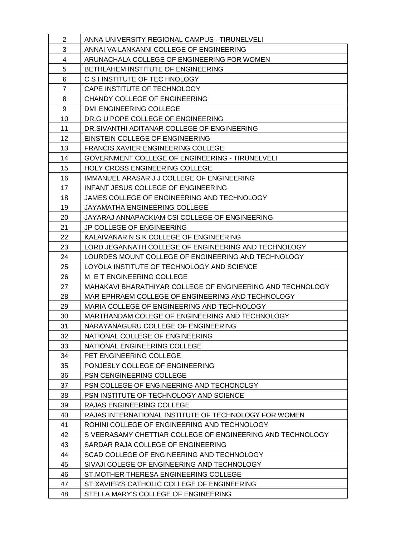| $\overline{2}$  | ANNA UNIVERSITY REGIONAL CAMPUS - TIRUNELVELI              |
|-----------------|------------------------------------------------------------|
| 3               | ANNAI VAILANKANNI COLLEGE OF ENGINEERING                   |
| 4               | ARUNACHALA COLLEGE OF ENGINEERING FOR WOMEN                |
| 5               | BETHLAHEM INSTITUTE OF ENGINEERING                         |
| 6               | C S I INSTITUTE OF TEC HNOLOGY                             |
| $\overline{7}$  | CAPE INSTITUTE OF TECHNOLOGY                               |
| 8               | CHANDY COLLEGE OF ENGINEERING                              |
| 9               | DMI ENGINEERING COLLEGE                                    |
| 10              | DR.G U POPE COLLEGE OF ENGINEERING                         |
| 11              | DR.SIVANTHI ADITANAR COLLEGE OF ENGINEERING                |
| 12 <sup>2</sup> | EINSTEIN COLLEGE OF ENGINEERING                            |
| 13              | FRANCIS XAVIER ENGINEERING COLLEGE                         |
| 14              | GOVERNMENT COLLEGE OF ENGINEERING - TIRUNELVELI            |
| 15              | <b>HOLY CROSS ENGINEERING COLLEGE</b>                      |
| 16              | IMMANUEL ARASAR J J COLLEGE OF ENGINEERING                 |
| 17              | INFANT JESUS COLLEGE OF ENGINEERING                        |
| 18              | JAMES COLLEGE OF ENGINEERING AND TECHNOLOGY                |
| 19              | JAYAMATHA ENGINEERING COLLEGE                              |
| 20              | JAYARAJ ANNAPACKIAM CSI COLLEGE OF ENGINEERING             |
| 21              | <b>JP COLLEGE OF ENGINEERING</b>                           |
| 22              | KALAIVANAR N S K COLLEGE OF ENGINEERING                    |
| 23              | LORD JEGANNATH COLLEGE OF ENGINEERING AND TECHNOLOGY       |
| 24              | LOURDES MOUNT COLLEGE OF ENGINEERING AND TECHNOLOGY        |
| 25              | LOYOLA INSTITUTE OF TECHNOLOGY AND SCIENCE                 |
| 26              | M E T ENGINEERING COLLEGE                                  |
| 27              | MAHAKAVI BHARATHIYAR COLLEGE OF ENGINEERING AND TECHNOLOGY |
| 28              | MAR EPHRAEM COLLEGE OF ENGINEERING AND TECHNOLOGY          |
| 29              | MARIA COLLEGE OF ENGINEERING AND TECHNOLOGY                |
| 30              | MARTHANDAM COLEGE OF ENGINEERING AND TECHNOLOGY            |
| 31              | NARAYANAGURU COLLEGE OF ENGINEERING                        |
| 32              | NATIONAL COLLEGE OF ENGINEERING                            |
| 33              | NATIONAL ENGINEERING COLLEGE                               |
| 34              | PET ENGINEERING COLLEGE                                    |
| 35              | PONJESLY COLLEGE OF ENGINEERING                            |
| 36              | PSN CENGINEERING COLLEGE                                   |
| 37              | PSN COLLEGE OF ENGINEERING AND TECHONOLGY                  |
| 38              | PSN INSTITUTE OF TECHNOLOGY AND SCIENCE                    |
| 39              | RAJAS ENGINEERING COLLEGE                                  |
| 40              | RAJAS INTERNATIONAL INSTITUTE OF TECHNOLOGY FOR WOMEN      |
| 41              | ROHINI COLLEGE OF ENGINEERING AND TECHNOLOGY               |
| 42              | S VEERASAMY CHETTIAR COLLEGE OF ENGINEERING AND TECHNOLOGY |
| 43              | SARDAR RAJA COLLEGE OF ENGINEERING                         |
| 44              | SCAD COLLEGE OF ENGINEERING AND TECHNOLOGY                 |
| 45              | SIVAJI COLEGE OF ENGINEERING AND TECHNOLOGY                |
| 46              | ST. MOTHER THERESA ENGINEERING COLLEGE                     |
| 47              | ST.XAVIER'S CATHOLIC COLLEGE OF ENGINEERING                |
| 48              | STELLA MARY'S COLLEGE OF ENGINEERING                       |